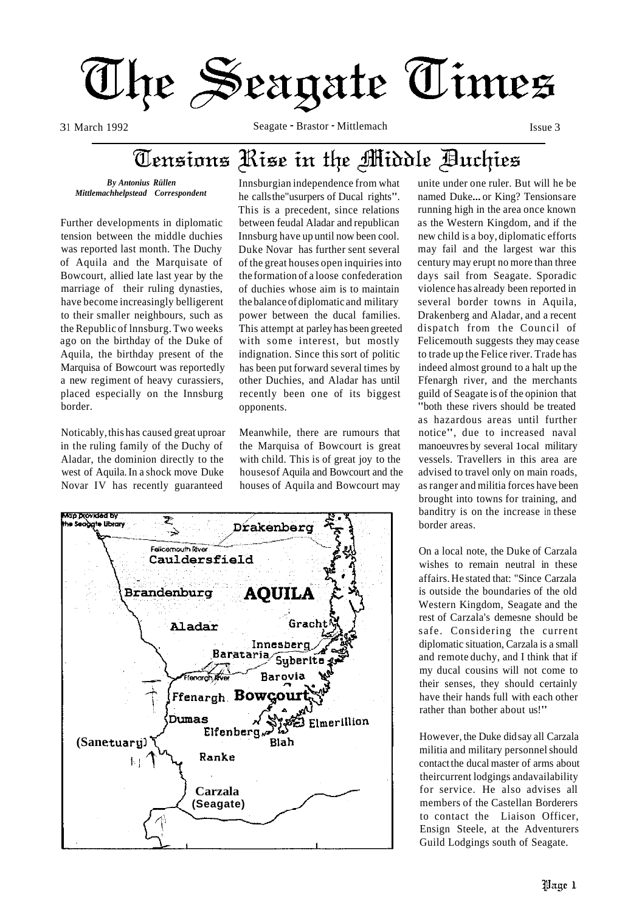

3 1 March 1992 Seagate - Brastor - Mittlemach Issue 3

### Tensions Rise in the Middle Buchies

*By Antonius Rüllen Mittlemachhelpstead Correspondent* 

Further developments in diplomatic tension between the middle duchies was reported last month. The Duchy of Aquila and the Marquisate of Bowcourt, allied late last year by the marriage of their ruling dynasties, have become increasingly belligerent to their smaller neighbours, such as the Republic of lnnsburg. Two weeks ago on the birthday of the Duke of Aquila, the birthday present of the Marquisa of Bowcourt was reportedly a new regiment of heavy curassiers, placed especially on the Innsburg border.

Noticably, this has caused great uproar in the ruling family of the Duchy of Aladar, the dominion directly to the west of Aquila. In a shock move Duke Novar IV has recently guaranteed

Innsburgian independence from what he calls the"usurpers of Ducal rights". This is a precedent, since relations between feudal Aladar and republican Innsburg have up until now been cool. Duke Novar has further sent several of the great houses open inquiries into the formation of a loose confederation of duchies whose aim is to maintain the balance of diplomatic and military power between the ducal families. This attempt at parley has been greeted with some interest, but mostly indignation. Since this sort of politic has been put forward several times by other Duchies, and Aladar has until recently been one of its biggest opponents.

Meanwhile, there are rumours that the Marquisa of Bowcourt is great with child. This is of great joy to the housesof Aquila and Bowcourt and the houses of Aquila and Bowcourt may



unite under one ruler. But will he be named Duke... or King? Tensions are running high in the area once known as the Western Kingdom, and if the new child is a boy, diplomatic efforts may fail and the largest war this century may erupt no more than three days sail from Seagate. Sporadic violence has already been reported in several border towns in Aquila, Drakenberg and Aladar, and a recent dispatch from the Council of Felicemouth suggests they may cease to trade up the Felice river. Trade has indeed almost ground to a halt up the Ffenargh river, and the merchants guild of Seagate is of the opinion that "both these rivers should be treated as hazardous areas until further notice", due to increased naval manoeuvres by several 1ocal military vessels. Travellers in this area are advised to travel only on main roads, as ranger and militia forces have been brought into towns for training, and banditry is on the increase in these border areas.

On a local note, the Duke of Carzala wishes to remain neutral in these affairs. He stated that: "Since Carzala is outside the boundaries of the old Western Kingdom, Seagate and the rest of Carzala's demesne should be safe. Considering the current diplomatic situation, Carzala is a small and remote duchy, and I think that if my ducal cousins will not come to their senses, they should certainly have their hands full with each other rather than bother about us!"

However, the Duke did say all Carzala militia and military personnel should contact the ducal master of arms about theircurrent lodgings andavailability for service. He also advises all members of the Castellan Borderers to contact the Liaison Officer, Ensign Steele, at the Adventurers Guild Lodgings south of Seagate.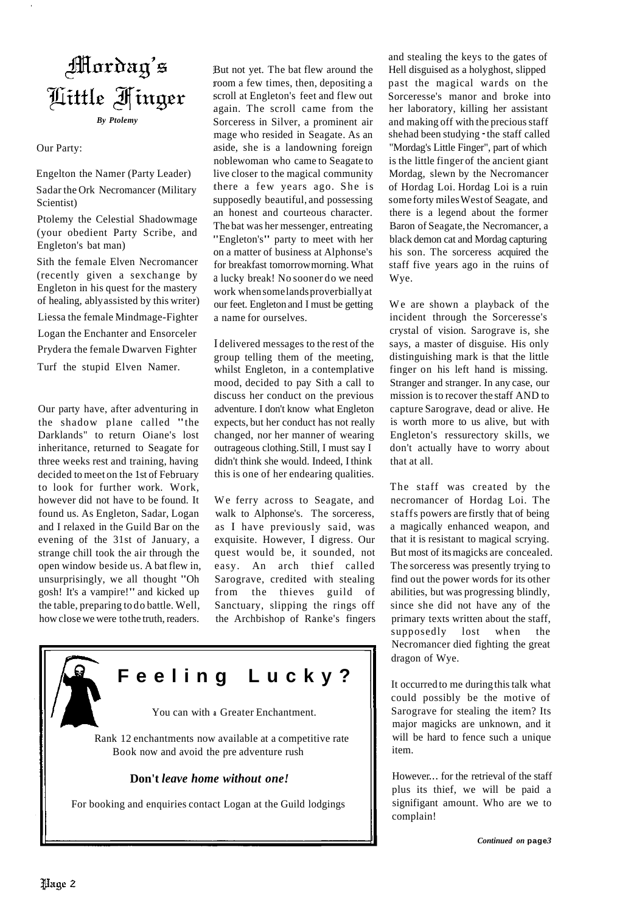

#### Our Party:

Engelton the Namer (Party Leader)

Sadar the Ork Necromancer (Military Scientist)

Ptolemy the Celestial Shadowmage (your obedient Party Scribe, and Engleton's bat man)

Sith the female Elven Necromancer (recently given a sexchange by Engleton in his quest for the mastery of healing, ablyassisted by this writer)

Liessa the female Mindmage-Fighter

Logan the Enchanter and Ensorceler

Prydera the female Dwarven Fighter

Turf the stupid Elven Namer.

Our party have, after adventuring in the shadow plane called "the Darklands" to return Oiane's lost inheritance, returned to Seagate for three weeks rest and training, having decided to meet on the 1st of February to look for further work. Work, however did not have to be found. It found us. As Engleton, Sadar, Logan and I relaxed in the Guild Bar on the evening of the 31st of January, a strange chill took the air through the open window beside us. A bat flew in, unsurprisingly, we all thought "Oh gosh! It's a vampire!" and kicked up the table, preparing to do battle. Well, how close we were tothe truth, readers.

But not yet. The bat flew around the room a few times, then, depositing a scroll at Engleton's feet and flew out again. The scroll came from the Sorceress in Silver, a prominent air mage who resided in Seagate. As an aside, she is a landowning foreign noblewoman who came to Seagate to live closer to the magical community there a few years ago. She is supposedly beautiful, and possessing an honest and courteous character. The bat was her messenger, entreating "Engleton's" party to meet with her on a matter of business at Alphonse's for breakfast tomorrow morning. What a lucky break! No sooner do we need work whensomelandsproverbially at our feet. Engleton and I must be getting a name for ourselves.

I delivered messages to the rest of the group telling them of the meeting, whilst Engleton, in a contemplative mood, decided to pay Sith a call to discuss her conduct on the previous adventure. I don't know what Engleton expects, but her conduct has not really changed, nor her manner of wearing outrageous clothing.Still, I must say I didn't think she would. Indeed, I think this is one of her endearing qualities.

We ferry across to Seagate, and walk to Alphonse's. The sorceress, as I have previously said, was exquisite. However, I digress. Our quest would be, it sounded, not easy. An arch thief called Sarograve, credited with stealing from the thieves guild of Sanctuary, slipping the rings off the Archbishop of Ranke's fingers



For booking and enquiries contact Logan at the Guild lodgings

and stealing the keys to the gates of Hell disguised as a holy ghost, slipped past the magical wards on the Sorceresse's manor and broke into her laboratory, killing her assistant and making off with the precious staff she had been studying - the staff called "Mordag's Little Finger", part of which is the little finger of the ancient giant Mordag, slewn by the Necromancer of Hordag Loi. Hordag Loi is a ruin some forty miles West of Seagate, and there is a legend about the former Baron of Seagate, the Necromancer, a black demon cat and Mordag capturing his son. The sorceress acquired the staff five years ago in the ruins of Wye.

We are shown a playback of the incident through the Sorceresse's crystal of vision. Sarograve is, she says, a master of disguise. His only distinguishing mark is that the little finger on his left hand is missing. Stranger and stranger. In any case, our mission is to recover the staff AND to capture Sarograve, dead or alive. He is worth more to us alive, but with Engleton's ressurectory skills, we don't actually have to worry about that at all.

The staff was created by the necromancer of Hordag Loi. The staffs powers are firstly that of being a magically enhanced weapon, and that it is resistant to magical scrying. But most of itsmagicks are concealed. The sorceress was presently trying to find out the power words for its other abilities, but was progressing blindly, since she did not have any of the primary texts written about the staff, supposedly lost when the Necromancer died fighting the great dragon of Wye.

It occurred to me during this talk what could possibly be the motive of Sarograve for stealing the item? Its major magicks are unknown, and it will be hard to fence such a unique item.

However... for the retrieval of the staff plus its thief, we will be paid a signifigant amount. Who are we to complain!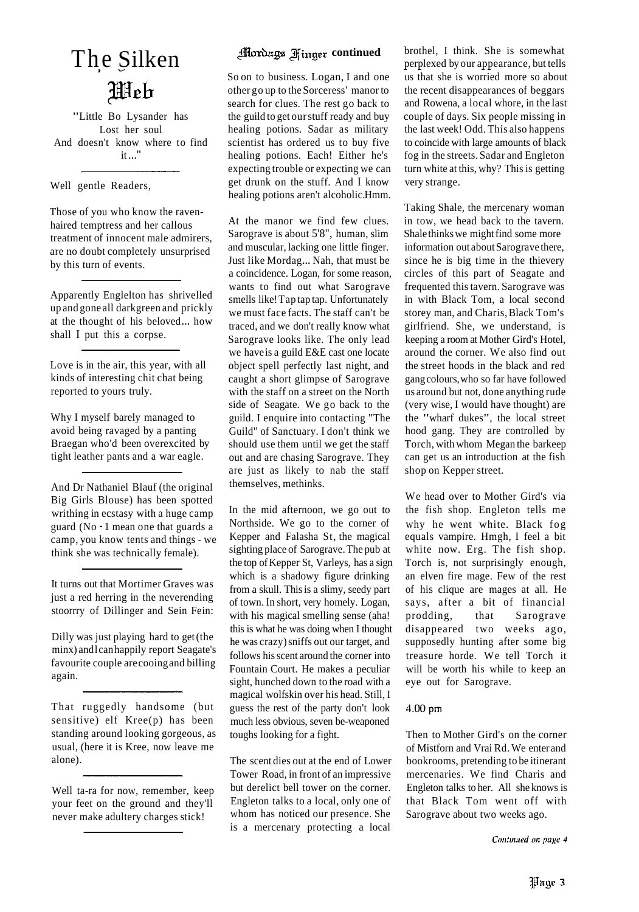# **Illeh**

"Little Bo Lysander has Lost her soul And doesn't know where to find  $it$   $\cdot$ 

Well gentle Readers,

Those of you who know the ravenhaired temptress and her callous treatment of innocent male admirers, are no doubt completely unsurprised by this turn of events.

Apparently Englelton has shrivelled up and gone all darkgreen and prickly at the thought of his beloved... how shall I put this a corpse.

Love is in the air, this year, with all kinds of interesting chit chat being reported to yours truly.

Why I myself barely managed to avoid being ravaged by a panting Braegan who'd been overexcited by tight leather pants and a war eagle.

And Dr Nathaniel Blauf (the original Big Girls Blouse) has been spotted writhing in ecstasy with a huge camp guard (No - 1 mean one that guards a camp, you know tents and things - we think she was technically female).

It turns out that Mortimer Graves was just a red herring in the neverending stoorrry of Dillinger and Sein Fein:

Dilly was just playing hard to get (the minx) andlcan happily report Seagate's favourite couple arecooing and billing again.

That ruggedly handsome (but sensitive) elf Kree(p) has been standing around looking gorgeous, as usual, (here it is Kree, now leave me alone).

Well ta-ra for now, remember, keep your feet on the ground and they'll never make adultery charges stick!

So on to business. Logan, I and one other go up to the Sorceress' manor to search for clues. The rest go back to the guild to get our stuff ready and buy healing potions. Sadar as military scientist has ordered us to buy five healing potions. Each! Either he's expecting trouble or expecting we can get drunk on the stuff. And I know healing potions aren't alcoholic.Hmm.

At the manor we find few clues. Sarograve is about 5'8", human, slim and muscular, lacking one little finger. Just like Mordag... Nah, that must be a coincidence. Logan, for some reason, wants to find out what Sarograve smells like!Tap tap tap. Unfortunately we must face facts. The staff can't be traced, and we don't really know what Sarograve looks like. The only lead we have is a guild E&E cast one locate object spell perfectly last night, and caught a short glimpse of Sarograve with the staff on a street on the North side of Seagate. We go back to the guild. I enquire into contacting "The Guild" of Sanctuary. I don't think we should use them until we get the staff out and are chasing Sarograve. They are just as likely to nab the staff themselves, methinks.

In the mid afternoon, we go out to Northside. We go to the corner of Kepper and Falasha St, the magical sighting place of Sarograve. The pub at the top of Kepper St, Varleys, has a sign which is a shadowy figure drinking from a skull. This is a slimy, seedy part of town. In short, very homely. Logan, with his magical smelling sense (aha! this is what he was doing when I thought he was crazy) sniffs out our target, and follows hisscent around the corner into Fountain Court. He makes a peculiar sight, hunched down to the road with a magical wolfskin over his head. Still, I guess the rest of the party don't look much less obvious, seven be-weaponed toughs looking for a fight.

The scent dies out at the end of Lower Tower Road, in front of an impressive but derelict bell tower on the corner. Engleton talks to a local, only one of whom has noticed our presence. She is a mercenary protecting a local

The Silken **Continued** brothel, I think. She is somewhat perplexed by our appearance, but tells perplexed by our appearance, but tells us that she is worried more so about the recent disappearances of beggars and Rowena, a local whore, in the last couple of days. Six people missing in the last week! Odd. This also happens to coincide with large amounts of black fog in the streets. Sadar and Engleton turn white at this, why? This is getting very strange.

> Taking Shale, the mercenary woman in tow, we head back to the tavern. Shale thinks we mightfind some more information out about Sarograve there, since he is big time in the thievery circles of this part of Seagate and frequented this tavern. Sarograve was in with Black Tom, a local second storey man, and Charis, Black Tom's girlfriend. She, we understand, is keeping a room at Mother Gird's Hotel, around the corner. We also find out the street hoods in the black and red gang colours, who so far have followed us around but not, done anything rude (very wise, I would have thought) are the "wharf dukes", the local street hood gang. They are controlled by Torch, with whom Megan the barkeep can get us an introduction at the fish shop on Kepper street.

> We head over to Mother Gird's via the fish shop. Engleton tells me why he went white. Black fog equals vampire. Hmgh, I feel a bit white now. Erg. The fish shop. Torch is, not surprisingly enough, an elven fire mage. Few of the rest of his clique are mages at all. He says, after a bit of financial prodding, that Sarograve disappeared two weeks ago, supposedly hunting after some big treasure horde. We tell Torch it will be worth his while to keep an eye out for Sarograve.

#### $4.00$  pm

Then to Mother Gird's on the corner of Mistforn and Vrai Rd. We enter and bookrooms, pretending to be itinerant mercenaries. We find Charis and Engleton talks to her. All she knows is that Black Tom went off with Sarograve about two weeks ago.

Continued on page 4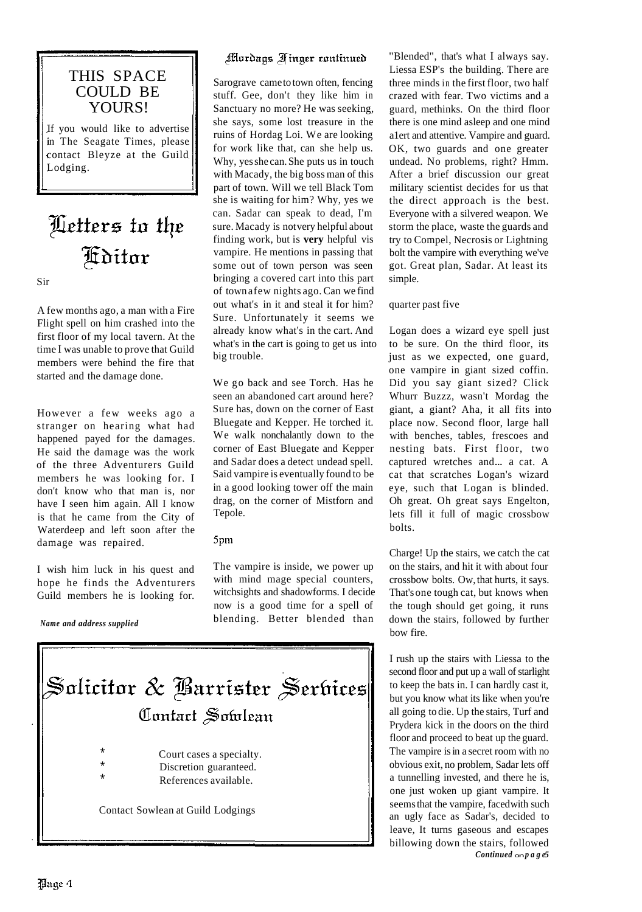

### Letters to the **Fiditor**

Sir

A few months ago, a man with a Fire Flight spell on him crashed into the first floor of my local tavern. At the time I was unable to prove that Guild members were behind the fire that started and the damage done.

However a few weeks ago a stranger on hearing what had happened payed for the damages. He said the damage was the work of the three Adventurers Guild members he was looking for. I don't know who that man is, nor have I seen him again. All I know is that he came from the City of Waterdeep and left soon after the damage was repaired.

I wish him luck in his quest and hope he finds the Adventurers Guild members he is looking for.

*Name and address supplied* 

### Mordags Finger continued

Sarograve came to town often, fencing stuff. Gee, don't they like him in Sanctuary no more? He was seeking, she says, some lost treasure in the ruins of Hordag Loi. We are looking for work like that, can she help us. Why, yesshe can. She puts us in touch with Macady, the big boss man of this part of town. Will we tell Black Tom she is waiting for him? Why, yes we can. Sadar can speak to dead, I'm sure. Macady is not very helpful about finding work, but is **very** helpful vis vampire. He mentions in passing that some out of town person was seen bringing a covered cart into this part of town afew nights ago. Can we find out what's in it and steal it for him? Sure. Unfortunately it seems we already know what's in the cart. And what's in the cart is going to get us into big trouble.

We go back and see Torch. Has he seen an abandoned cart around here? Sure has, down on the corner of East Bluegate and Kepper. He torched it. We walk nonchalantly down to the corner of East Bluegate and Kepper and Sadar does a detect undead spell. Said vampire is eventually found to be in a good looking tower off the main drag, on the corner of Mistforn and Tepole.

#### 5pm

The vampire is inside, we power up with mind mage special counters, witchsights and shadowforms. I decide now is a good time for a spell of blending. Better blended than



"Blended", that's what I always say. Liessa ESP's the building. There are three minds in the first floor, two half crazed with fear. Two victims and a guard, methinks. On the third floor there is one mind asleep and one mind a1ert and attentive. Vampire and guard. OK, two guards and one greater undead. No problems, right? Hmm. After a brief discussion our great military scientist decides for us that the direct approach is the best. Everyone with a silvered weapon. We storm the place, waste the guards and try to Compel, Necrosis or Lightning bolt the vampire with everything we've got. Great plan, Sadar. At least its simple.

#### quarter past five

Logan does a wizard eye spell just to be sure. On the third floor, its just as we expected, one guard, one vampire in giant sized coffin. Did you say giant sized? Click Whurr Buzzz, wasn't Mordag the giant, a giant? Aha, it all fits into place now. Second floor, large hall with benches, tables, frescoes and nesting bats. First floor, two captured wretches and... a cat. A cat that scratches Logan's wizard eye, such that Logan is blinded. Oh great. Oh great says Engelton, lets fill it full of magic crossbow bolts.

Charge! Up the stairs, we catch the cat on the stairs, and hit it with about four crossbow bolts. Ow, that hurts, it says. That's one tough cat, but knows when the tough should get going, it runs down the stairs, followed by further bow fire.

I rush up the stairs with Liessa to the second floor and put up a wall of starlight to keep the bats in. I can hardly cast it, but you know what its like when you're all going to die. Up the stairs, Turf and Prydera kick in the doors on the third floor and proceed to beat up the guard. The vampire is in a secret room with no obvious exit, no problem, Sadar lets off a tunnelling invested, and there he is, one just woken up giant vampire. It seems that the vampire, faced with such an ugly face as Sadar's, decided to leave, It turns gaseous and escapes billowing down the stairs, followed *Continued* on*page5*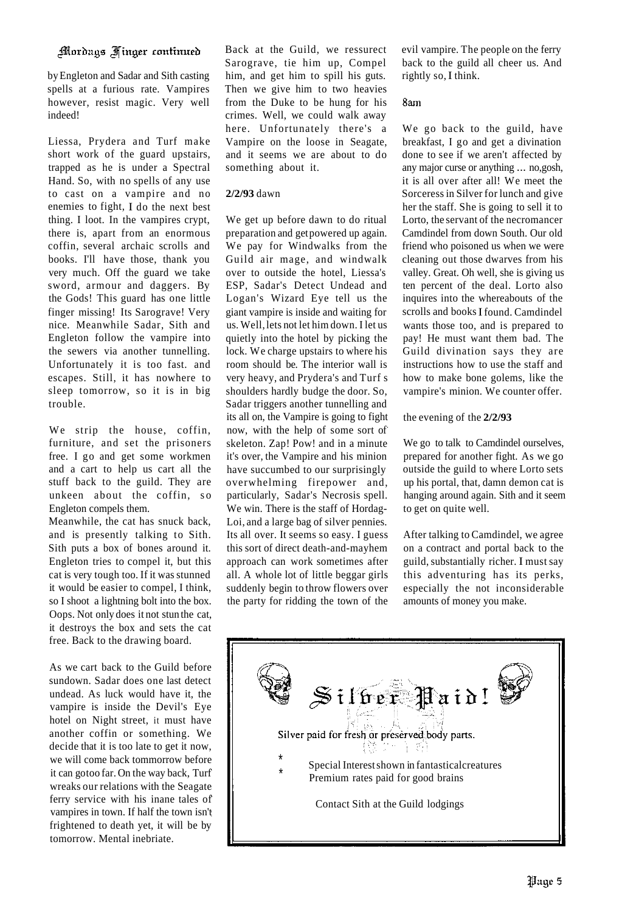#### Mordags Finger continued

by Engleton and Sadar and Sith casting spells at a furious rate. Vampires however, resist magic. Very well indeed!

Liessa, Prydera and Turf make short work of the guard upstairs, trapped as he is under a Spectral Hand. So, with no spells of any use to cast on a vampire and no enemies to fight, I do the next best thing. I loot. In the vampires crypt, there is, apart from an enormous coffin, several archaic scrolls and books. I'll have those, thank you very much. Off the guard we take sword, armour and daggers. By the Gods! This guard has one little finger missing! Its Sarograve! Very nice. Meanwhile Sadar, Sith and Engleton follow the vampire into the sewers via another tunnelling. Unfortunately it is too fast. and escapes. Still, it has nowhere to sleep tomorrow, so it is in big trouble.

We strip the house, coffin, furniture, and set the prisoners free. I go and get some workmen and a cart to help us cart all the stuff back to the guild. They are unkeen about the coffin, so Engleton compels them.

Meanwhile, the cat has snuck back, and is presently talking to Sith. Sith puts a box of bones around it. Engleton tries to compel it, but this cat is very tough too. If it was stunned it would be easier to compel, I think, so I shoot a lightning bolt into the box. Oops. Not only does it not stun the cat, it destroys the box and sets the cat free. Back to the drawing board.

As we cart back to the Guild before sundown. Sadar does one last detect undead. As luck would have it, the vampire is inside the Devil's Eye hotel on Night street, it must have another coffin or something. We decide that it is too late to get it now, we will come back tommorrow before it can gotoo far. On the way back, Turf wreaks our relations with the Seagate ferry service with his inane tales of vampires in town. If half the town isn't frightened to death yet, it will be by tomorrow. Mental inebriate.

Back at the Guild, we ressurect Sarograve, tie him up, Compel him, and get him to spill his guts. Then we give him to two heavies from the Duke to be hung for his crimes. Well, we could walk away here. Unfortunately there's a Vampire on the loose in Seagate, and it seems we are about to do something about it.

#### **2/2/93** dawn

We get up before dawn to do ritual preparation and getpowered up again. We pay for Windwalks from the Guild air mage, and windwalk over to outside the hotel, Liessa's ESP, Sadar's Detect Undead and Logan's Wizard Eye tell us the giant vampire is inside and waiting for us. Well, lets not let him down. I let us quietly into the hotel by picking the lock. We charge upstairs to where his room should be. The interior wall is very heavy, and Prydera's and Turf s shoulders hardly budge the door. So, Sadar triggers another tunnelling and its all on, the Vampire is going to fight now, with the help of some sort of skeleton. Zap! Pow! and in a minute it's over, the Vampire and his minion have succumbed to our surprisingly overwhelming firepower and, particularly, Sadar's Necrosis spell. We win. There is the staff of Hordag-Loi, and a large bag of silver pennies. Its all over. It seems so easy. I guess this sort of direct death-and-mayhem approach can work sometimes after all. A whole lot of little beggar girls suddenly begin to throw flowers over the party for ridding the town of the

evil vampire. The people on the ferry back to the guild all cheer us. And rightly so, I think.

#### 8am

We go back to the guild, have breakfast, I go and get a divination done to see if we aren't affected by any major curse or anything ... no,gosh, it is all over after all! We meet the Sorceress in Silver for lunch and give her the staff. She is going to sell it to Lorto, the servant of the necromancer Camdindel from down South. Our old friend who poisoned us when we were cleaning out those dwarves from his valley. Great. Oh well, she is giving us ten percent of the deal. Lorto also inquires into the whereabouts of the scrolls and books I found. Camdindel wants those too, and is prepared to pay! He must want them bad. The Guild divination says they are instructions how to use the staff and how to make bone golems, like the vampire's minion. We counter offer.

#### the evening of the **2/2/93**

We go to talk to Camdindel ourselves, prepared for another fight. As we go outside the guild to where Lorto sets up his portal, that, damn demon cat is hanging around again. Sith and it seem to get on quite well.

After talking to Camdindel, we agree on a contract and portal back to the guild, substantially richer. I must say this adventuring has its perks, especially the not inconsiderable amounts of money you make.

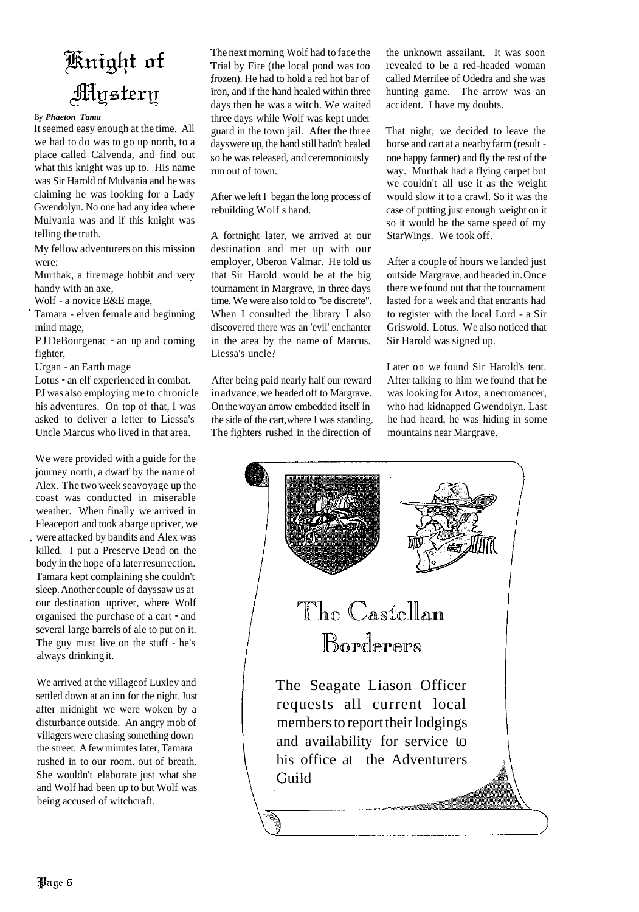## Knight of Mystery

By *Phaeton Tama*

It seemed easy enough at the time. All we had to do was to go up north, to a place called Calvenda, and find out what this knight was up to. His name was Sir Harold of Mulvania and he was claiming he was looking for a Lady Gwendolyn. No one had any idea where Mulvania was and if this knight was telling the truth.

My fellow adventurers on this mission were:

Murthak, a firemage hobbit and very handy with an axe,

Wolf - a novice E&E mage,

Tamara - elven female and beginning mind mage,

PJ DeBourgenac - an up and coming fighter,

Urgan - an Earth mage

Lotus - an elf experienced in combat. PJ was also employing me to chronicle his adventures. On top of that, I was asked to deliver a letter to Liessa's Uncle Marcus who lived in that area.

We were provided with a guide for the journey north, a dwarf by the name of Alex. The two week seavoyage up the coast was conducted in miserable weather. When finally we arrived in Fleaceport and took abarge upriver, we were attacked by bandits and Alex was killed. I put a Preserve Dead on the body in the hope of a later resurrection. Tamara kept complaining she couldn't sleep. Another couple of days saw us at our destination upriver, where Wolf organised the purchase of a cart - and several large barrels of ale to put on it. The guy must live on the stuff - he's always drinking it.

We arrived at the villageof Luxley and settled down at an inn for the night. Just after midnight we were woken by a disturbance outside. An angry mob of villagers were chasing something down the street. A few minutes later, Tamara rushed in to our room. out of breath. She wouldn't elaborate just what she and Wolf had been up to but Wolf was being accused of witchcraft.

The next morning Wolf had to face the Trial by Fire (the local pond was too frozen). He had to hold a red hot bar of iron, and if the hand healed within three days then he was a witch. We waited three days while Wolf was kept under guard in the town jail. After the three days were up, the hand still hadn't healed so he was released, and ceremoniously run out of town.

After we left I began the long process of rebuilding Wolf s hand.

A fortnight later, we arrived at our destination and met up with our employer, Oberon Valmar. He told us that Sir Harold would be at the big tournament in Margrave, in three days time. We were also told to "be discrete". When I consulted the library I also discovered there was an 'evil' enchanter in the area by the name of Marcus. Liessa's uncle?

After being paid nearly half our reward inadvance, we headed off to Margrave. On the way an arrow embedded itself in the side of the cart, where I was standing. The fighters rushed in the direction of

the unknown assailant. It was soon revealed to be a red-headed woman called Merrilee of Odedra and she was hunting game. The arrow was an accident. I have my doubts.

That night, we decided to leave the horse and cart at a nearby farm (result one happy farmer) and fly the rest of the way. Murthak had a flying carpet but we couldn't all use it as the weight would slow it to a crawl. So it was the case of putting just enough weight on it so it would be the same speed of my StarWings. We took off.

After a couple of hours we landed just outside Margrave, and headed in. Once there we found out that the tournament lasted for a week and that entrants had to register with the local Lord - a Sir Griswold. Lotus. We also noticed that Sir Harold was signed up.

Later on we found Sir Harold's tent. After talking to him we found that he was looking for Artoz, a necromancer, who had kidnapped Gwendolyn. Last he had heard, he was hiding in some mountains near Margrave.

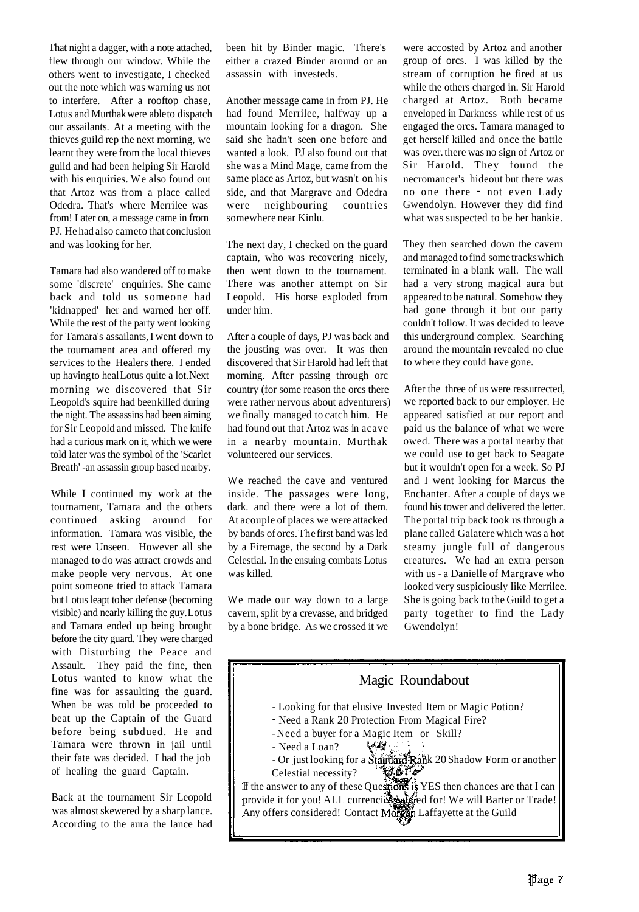That night a dagger, with a note attached, flew through our window. While the others went to investigate, I checked out the note which was warning us not to interfere. After a rooftop chase, Lotus and Murthak were able to dispatch our assailants. At a meeting with the thieves guild rep the next morning, we learnt they were from the local thieves guild and had been helping Sir Harold with his enquiries. We also found out that Artoz was from a place called Odedra. That's where Merrilee was from! Later on, a message came in from PJ. He had also cameto that conclusion and was looking for her.

Tamara had also wandered off to make some 'discrete' enquiries. She came back and told us someone had 'kidnapped' her and warned her off. While the rest of the party went looking for Tamara's assailants,I went down to the tournament area and offered my services to the Healers there. I ended up havingto healLotus quite a lot. Next morning we discovered that Sir Leopold's squire had been killed during the night. The assassins had been aiming for Sir Leopold and missed. The knife had a curious mark on it, which we were told later was the symbol of the 'Scarlet Breath' -an assassin group based nearby.

While I continued my work at the tournament, Tamara and the others continued asking around for information. Tamara was visible, the rest were Unseen. However all she managed to do was attract crowds and make people very nervous. At one point someone tried to attack Tamara but Lotus leapt to her defense (becoming visible) and nearly killing the guy. Lotus and Tamara ended up being brought before the city guard. They were charged with Disturbing the Peace and Assault. They paid the fine, then Lotus wanted to know what the fine was for assaulting the guard. When be was told be proceeded to beat up the Captain of the Guard before being subdued. He and Tamara were thrown in jail until their fate was decided. I had the job of healing the guard Captain.

Back at the tournament Sir Leopold was almost skewered by a sharp lance. According to the aura the lance had been hit by Binder magic. There's either a crazed Binder around or an assassin with investeds.

Another message came in from PJ. He had found Merrilee, halfway up a mountain looking for a dragon. She said she hadn't seen one before and wanted a look. PJ also found out that she was a Mind Mage, came from the same place as Artoz, but wasn't on his side, and that Margrave and Odedra were neighbouring countries somewhere near Kinlu.

The next day, I checked on the guard captain, who was recovering nicely, then went down to the tournament. There was another attempt on Sir Leopold. His horse exploded from under him.

After a couple of days, PJ was back and the jousting was over. It was then discovered that Sir Harold had left that morning. After passing through orc country (for some reason the orcs there were rather nervous about adventurers) we finally managed to catch him. He had found out that Artoz was in acave in a nearby mountain. Murthak volunteered our services.

We reached the cave and ventured inside. The passages were long, dark. and there were a lot of them. At acouple of places we were attacked by bands of orcs. The first band was led by a Firemage, the second by a Dark Celestial. In the ensuing combats Lotus was killed.

We made our way down to a large cavern, split by a crevasse, and bridged by a bone bridge. As we crossed it we

were accosted by Artoz and another group of orcs. I was killed by the stream of corruption he fired at us while the others charged in. Sir Harold charged at Artoz. Both became enveloped in Darkness while rest of us engaged the orcs. Tamara managed to get herself killed and once the battle was over. there was no sign of Artoz or Sir Harold. They found the necromancer's hideout but there was no one there - not even Lady Gwendolyn. However they did find what was suspected to be her hankie.

They then searched down the cavern and managed to find sometracks which terminated in a blank wall. The wall had a very strong magical aura but appeared to be natural. Somehow they had gone through it but our party couldn't follow. It was decided to leave this underground complex. Searching around the mountain revealed no clue to where they could have gone.

After the three of us were ressurrected, we reported back to our employer. He appeared satisfied at our report and paid us the balance of what we were owed. There was a portal nearby that we could use to get back to Seagate but it wouldn't open for a week. So PJ and I went looking for Marcus the Enchanter. After a couple of days we found his tower and delivered the letter. The portal trip back took us through a plane called Galatere which was a hot steamy jungle full of dangerous creatures. We had an extra person with us - a Danielle of Margrave who looked very suspiciously Iike Merrilee. She is going back to the Guild to get a party together to find the Lady Gwendolyn!